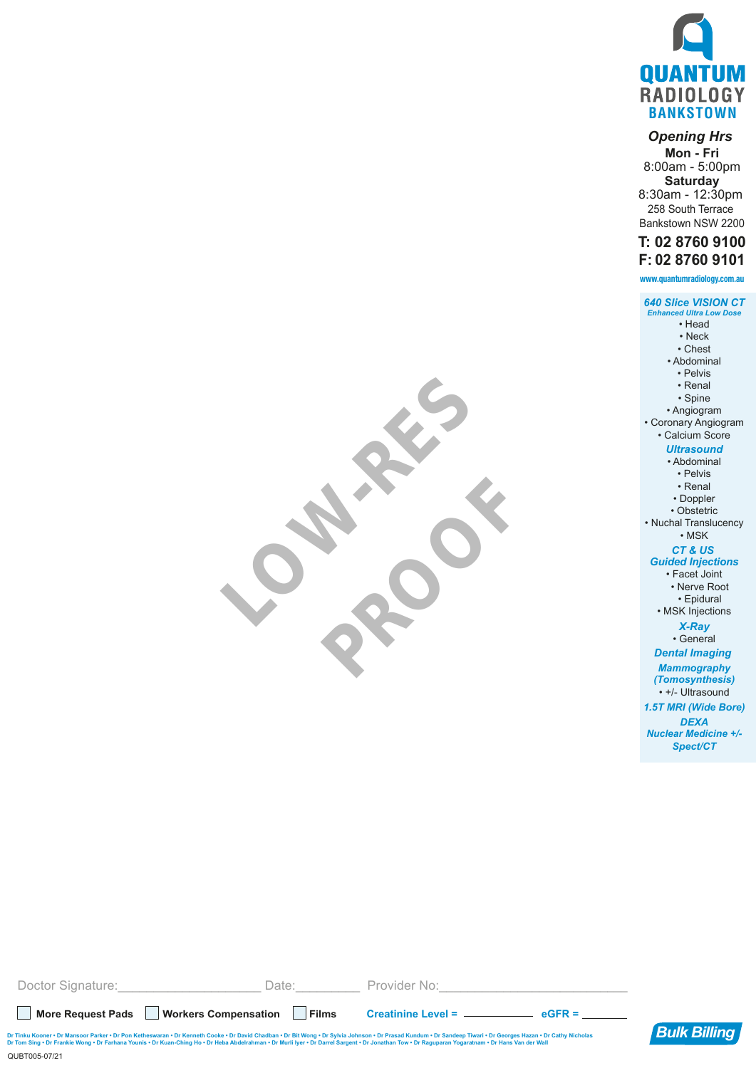

## *Opening Hrs*

**Mon - Fri** 8:00am - 5:00pm **Saturday** 8:30am - 12:30pm

258 South Terrace Bankstown NSW 2200

## **T: 02 8760 9100 F: 02 8760 9101**

| www.quantumradiology.com.au                                                                                                                                                                                               |
|---------------------------------------------------------------------------------------------------------------------------------------------------------------------------------------------------------------------------|
| <b>640 Slice VISION CT</b><br><b>Enhanced Ultra Low Dose</b><br>• Head<br>• Neck<br>• Chest<br>• Abdominal<br>· Pelvis<br>• Renal<br>· Spine<br>• Angiogram<br>Coronary Angiogram<br>· Calcium Score<br><b>Ultrasound</b> |
| · Abdominal                                                                                                                                                                                                               |
| • Pelvis<br>• Renal                                                                                                                                                                                                       |
| • Doppler                                                                                                                                                                                                                 |
| · Obstetric                                                                                                                                                                                                               |
| Nuchal Translucency<br>$\cdot$ MSK                                                                                                                                                                                        |
| CT&US                                                                                                                                                                                                                     |
| <b>Guided Injections</b><br>· Facet Joint                                                                                                                                                                                 |
| <b>Nerve Root</b>                                                                                                                                                                                                         |
| · Epidural                                                                                                                                                                                                                |
| · MSK Injections                                                                                                                                                                                                          |
| <b>X-Ray</b>                                                                                                                                                                                                              |
| · General                                                                                                                                                                                                                 |
| <b>Dental Imaging</b>                                                                                                                                                                                                     |
| <b>Mammography</b><br>(Tomosynthesis)                                                                                                                                                                                     |
| • +/- Ultrasound                                                                                                                                                                                                          |
| 1.5T MRI (Wide Bore)                                                                                                                                                                                                      |
| <b>DEXA</b>                                                                                                                                                                                                               |
| <b>Nuclear Medicine +/-</b>                                                                                                                                                                                               |
| Spect/CT                                                                                                                                                                                                                  |
|                                                                                                                                                                                                                           |
|                                                                                                                                                                                                                           |

| Doctor Signature:                                                                                                                                                                                                                                                                                                                                                                                                                          | Date: L   | Provider No:        |  |  |  |
|--------------------------------------------------------------------------------------------------------------------------------------------------------------------------------------------------------------------------------------------------------------------------------------------------------------------------------------------------------------------------------------------------------------------------------------------|-----------|---------------------|--|--|--|
| <b>Workers Compensation</b><br><b>More Request Pads</b>                                                                                                                                                                                                                                                                                                                                                                                    | $ $ Films | $Create =$ $eGFR =$ |  |  |  |
| <b>Bulk Billing</b><br>Dr Tinku Kooner • Dr Mansoor Parker • Dr Pon Ketheswaran • Dr Kenneth Cooke • Dr David Chadban • Dr Bit Wong • Dr Sylvia Johnson • Dr Prasad Kundum • Dr Sandeep Tiwari • Dr Georges Hazan • Dr Cathy Nicholas<br>Dr Tom Sing • Dr Frankie Wong • Dr Farhana Younis • Dr Kuan-Ching Ho • Dr Heba Abdelrahman • Dr Murli Iyer • Dr Darrel Sargent • Dr Jonathan Tow • Dr Raguparan Yogaratnam • Dr Hans Van der Wall |           |                     |  |  |  |
| QUBT005-07/21                                                                                                                                                                                                                                                                                                                                                                                                                              |           |                     |  |  |  |

LOW-RES

PROOF